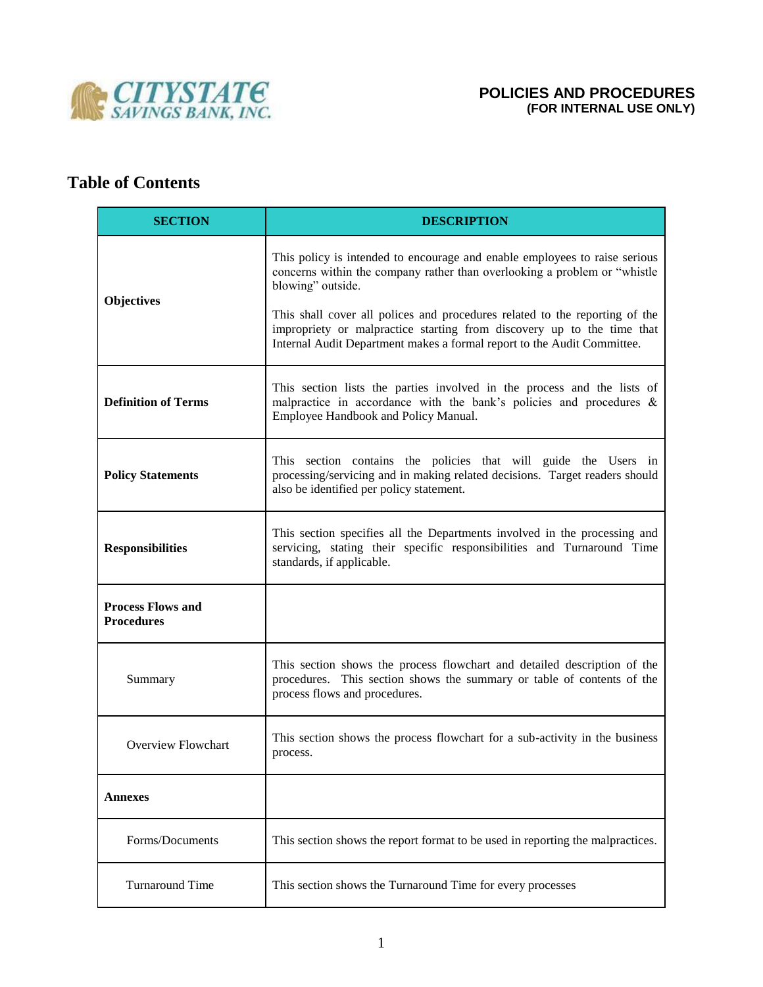

# **Table of Contents**

| <b>SECTION</b>                                | <b>DESCRIPTION</b>                                                                                                                                                                                                                                                                                                                                                                                               |
|-----------------------------------------------|------------------------------------------------------------------------------------------------------------------------------------------------------------------------------------------------------------------------------------------------------------------------------------------------------------------------------------------------------------------------------------------------------------------|
| <b>Objectives</b>                             | This policy is intended to encourage and enable employees to raise serious<br>concerns within the company rather than overlooking a problem or "whistle<br>blowing" outside.<br>This shall cover all polices and procedures related to the reporting of the<br>impropriety or malpractice starting from discovery up to the time that<br>Internal Audit Department makes a formal report to the Audit Committee. |
| <b>Definition of Terms</b>                    | This section lists the parties involved in the process and the lists of<br>malpractice in accordance with the bank's policies and procedures $\&$<br>Employee Handbook and Policy Manual.                                                                                                                                                                                                                        |
| <b>Policy Statements</b>                      | This section contains the policies that will guide the Users in<br>processing/servicing and in making related decisions. Target readers should<br>also be identified per policy statement.                                                                                                                                                                                                                       |
| <b>Responsibilities</b>                       | This section specifies all the Departments involved in the processing and<br>servicing, stating their specific responsibilities and Turnaround Time<br>standards, if applicable.                                                                                                                                                                                                                                 |
| <b>Process Flows and</b><br><b>Procedures</b> |                                                                                                                                                                                                                                                                                                                                                                                                                  |
| Summary                                       | This section shows the process flowchart and detailed description of the<br>procedures. This section shows the summary or table of contents of the<br>process flows and procedures.                                                                                                                                                                                                                              |
| <b>Overview Flowchart</b>                     | This section shows the process flowchart for a sub-activity in the business<br>process.                                                                                                                                                                                                                                                                                                                          |
| Annexes                                       |                                                                                                                                                                                                                                                                                                                                                                                                                  |
| Forms/Documents                               | This section shows the report format to be used in reporting the malpractices.                                                                                                                                                                                                                                                                                                                                   |
| <b>Turnaround Time</b>                        | This section shows the Turnaround Time for every processes                                                                                                                                                                                                                                                                                                                                                       |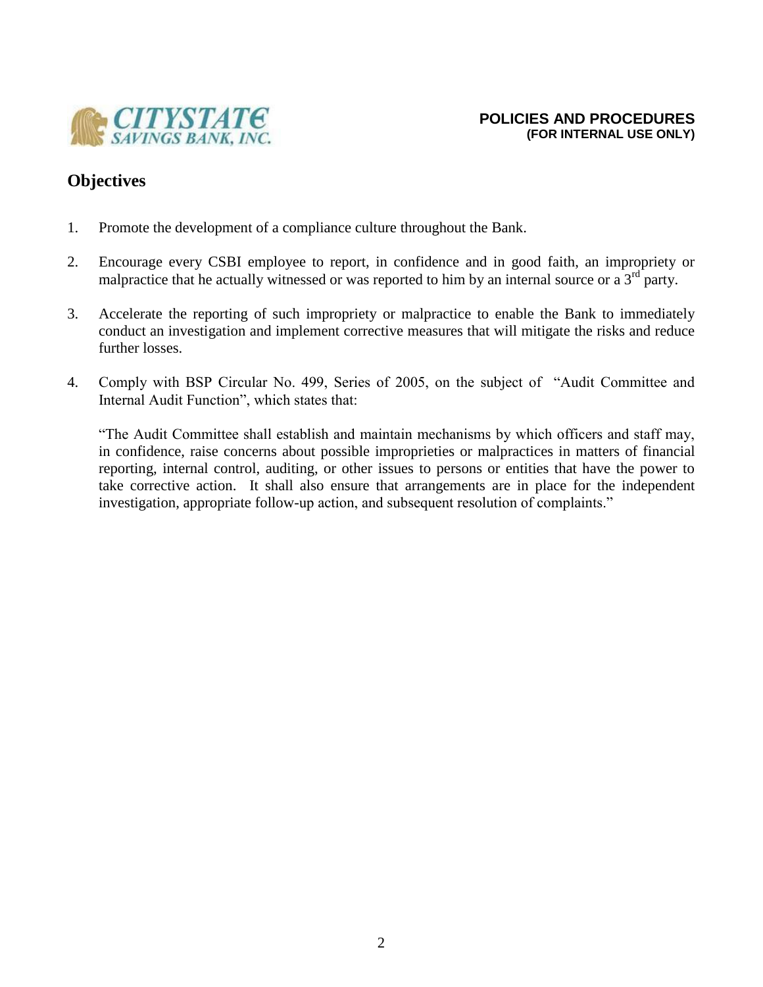

# **Objectives**

- 1. Promote the development of a compliance culture throughout the Bank.
- 2. Encourage every CSBI employee to report, in confidence and in good faith, an impropriety or malpractice that he actually witnessed or was reported to him by an internal source or a  $3<sup>rd</sup>$  party.
- 3. Accelerate the reporting of such impropriety or malpractice to enable the Bank to immediately conduct an investigation and implement corrective measures that will mitigate the risks and reduce further losses.
- 4. Comply with BSP Circular No. 499, Series of 2005, on the subject of "Audit Committee and Internal Audit Function", which states that:

"The Audit Committee shall establish and maintain mechanisms by which officers and staff may, in confidence, raise concerns about possible improprieties or malpractices in matters of financial reporting, internal control, auditing, or other issues to persons or entities that have the power to take corrective action. It shall also ensure that arrangements are in place for the independent investigation, appropriate follow-up action, and subsequent resolution of complaints."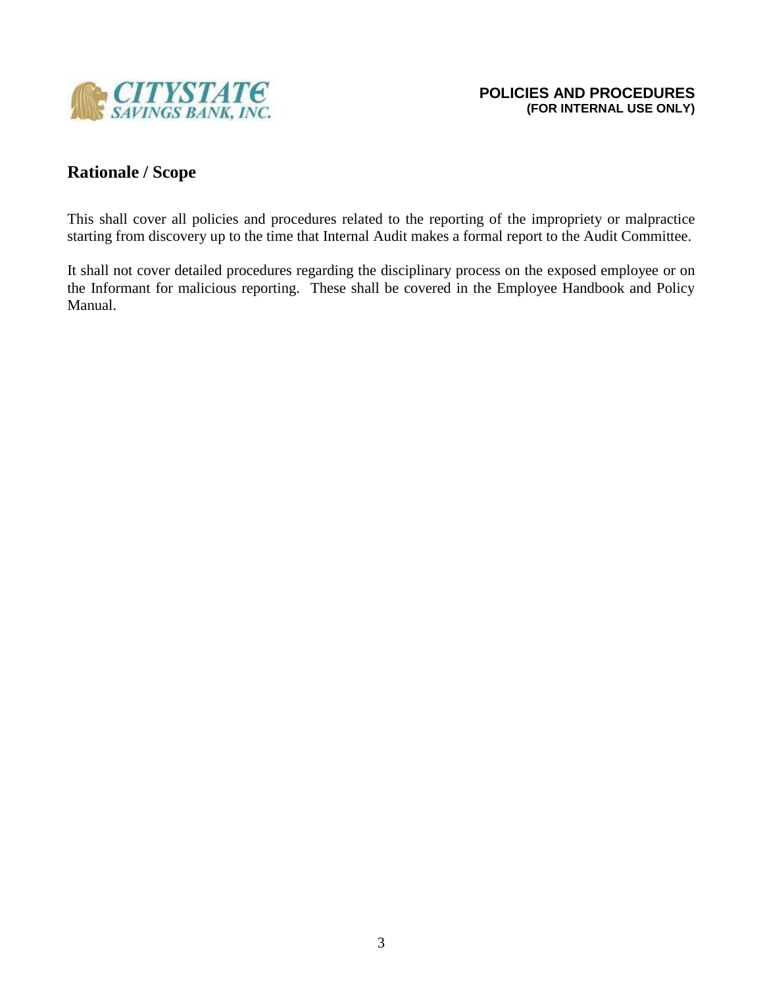

# **Rationale / Scope**

This shall cover all policies and procedures related to the reporting of the impropriety or malpractice starting from discovery up to the time that Internal Audit makes a formal report to the Audit Committee.

It shall not cover detailed procedures regarding the disciplinary process on the exposed employee or on the Informant for malicious reporting. These shall be covered in the Employee Handbook and Policy Manual.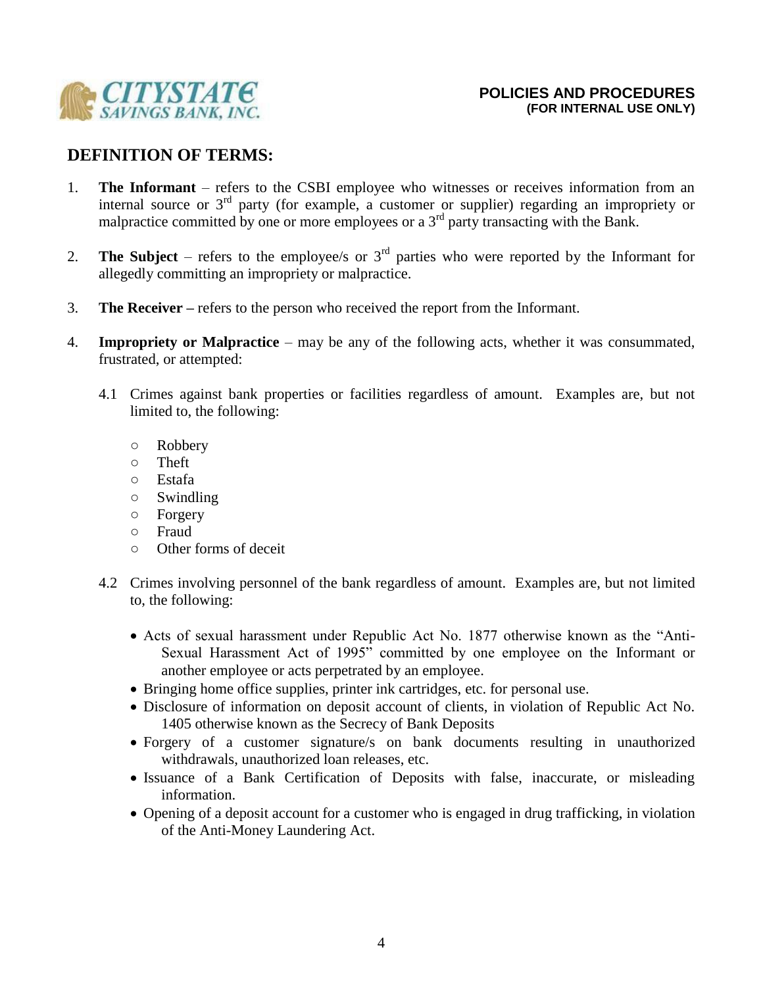

# **DEFINITION OF TERMS:**

- 1. **The Informant**  refers to the CSBI employee who witnesses or receives information from an internal source or 3rd party (for example, a customer or supplier) regarding an impropriety or malpractice committed by one or more employees or a 3<sup>rd</sup> party transacting with the Bank.
- 2. **The Subject** refers to the employee/s or  $3<sup>rd</sup>$  parties who were reported by the Informant for allegedly committing an impropriety or malpractice.
- 3. **The Receiver –** refers to the person who received the report from the Informant.
- 4. **Impropriety or Malpractice**  may be any of the following acts, whether it was consummated, frustrated, or attempted:
	- 4.1 Crimes against bank properties or facilities regardless of amount. Examples are, but not limited to, the following:
		- Robbery
		- Theft
		- Estafa
		- Swindling
		- Forgery
		- Fraud
		- Other forms of deceit
	- 4.2 Crimes involving personnel of the bank regardless of amount. Examples are, but not limited to, the following:
		- Acts of sexual harassment under Republic Act No. 1877 otherwise known as the "Anti-Sexual Harassment Act of 1995" committed by one employee on the Informant or another employee or acts perpetrated by an employee.
		- Bringing home office supplies, printer ink cartridges, etc. for personal use.
		- Disclosure of information on deposit account of clients, in violation of Republic Act No. 1405 otherwise known as the Secrecy of Bank Deposits
		- Forgery of a customer signature/s on bank documents resulting in unauthorized withdrawals, unauthorized loan releases, etc.
		- Issuance of a Bank Certification of Deposits with false, inaccurate, or misleading information.
		- Opening of a deposit account for a customer who is engaged in drug trafficking, in violation of the Anti-Money Laundering Act.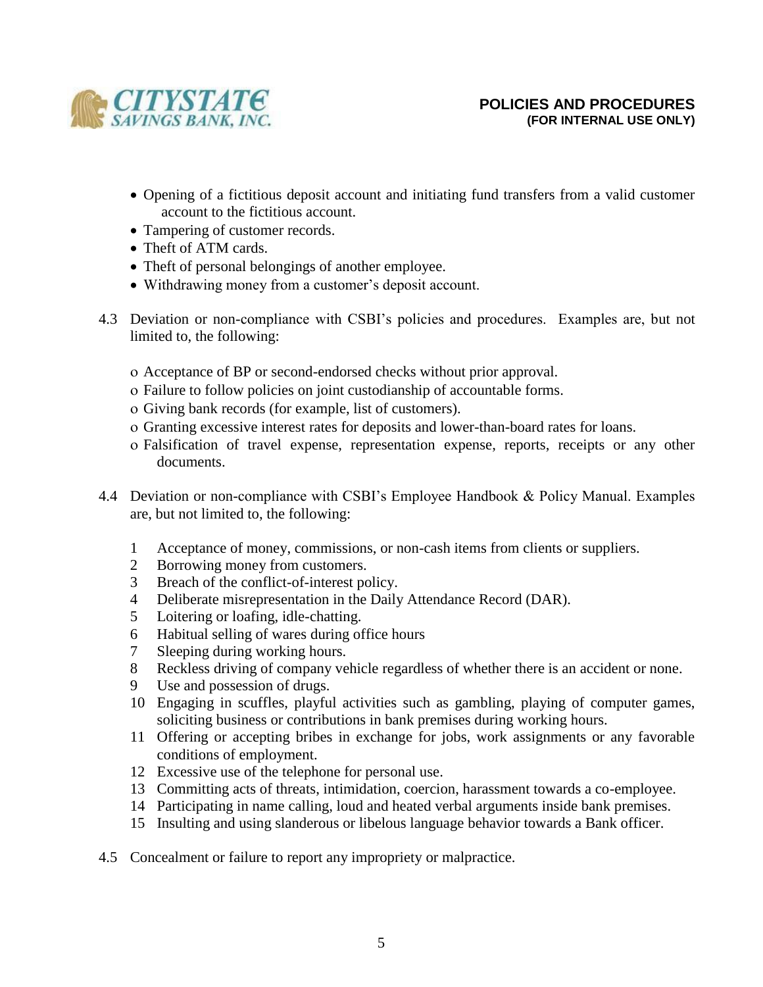

- Opening of a fictitious deposit account and initiating fund transfers from a valid customer account to the fictitious account.
- Tampering of customer records.
- Theft of ATM cards.
- Theft of personal belongings of another employee.
- Withdrawing money from a customer's deposit account.
- 4.3 Deviation or non-compliance with CSBI's policies and procedures. Examples are, but not limited to, the following:
	- Acceptance of BP or second-endorsed checks without prior approval.
	- Failure to follow policies on joint custodianship of accountable forms.
	- Giving bank records (for example, list of customers).
	- Granting excessive interest rates for deposits and lower-than-board rates for loans.
	- Falsification of travel expense, representation expense, reports, receipts or any other documents.
- 4.4 Deviation or non-compliance with CSBI's Employee Handbook & Policy Manual. Examples are, but not limited to, the following:
	- 1 Acceptance of money, commissions, or non-cash items from clients or suppliers.
	- 2 Borrowing money from customers.
	- 3 Breach of the conflict-of-interest policy.
	- 4 Deliberate misrepresentation in the Daily Attendance Record (DAR).
	- 5 Loitering or loafing, idle-chatting.
	- 6 Habitual selling of wares during office hours
	- 7 Sleeping during working hours.
	- 8 Reckless driving of company vehicle regardless of whether there is an accident or none.
	- 9 Use and possession of drugs.
	- 10 Engaging in scuffles, playful activities such as gambling, playing of computer games, soliciting business or contributions in bank premises during working hours.
	- 11 Offering or accepting bribes in exchange for jobs, work assignments or any favorable conditions of employment.
	- 12 Excessive use of the telephone for personal use.
	- 13 Committing acts of threats, intimidation, coercion, harassment towards a co-employee.
	- 14 Participating in name calling, loud and heated verbal arguments inside bank premises.
	- 15 Insulting and using slanderous or libelous language behavior towards a Bank officer.
- 4.5 Concealment or failure to report any impropriety or malpractice.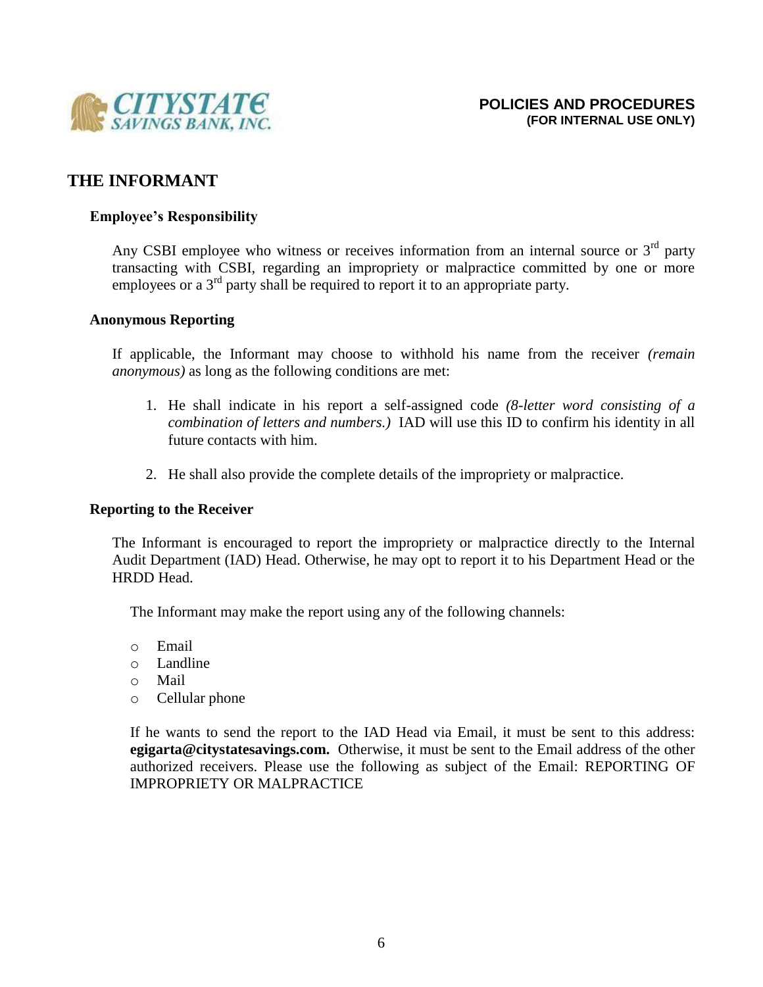

## **THE INFORMANT**

### **Employee's Responsibility**

Any CSBI employee who witness or receives information from an internal source or  $3<sup>rd</sup>$  party transacting with CSBI, regarding an impropriety or malpractice committed by one or more employees or a 3<sup>rd</sup> party shall be required to report it to an appropriate party.

### **Anonymous Reporting**

If applicable, the Informant may choose to withhold his name from the receiver *(remain anonymous)* as long as the following conditions are met:

- 1. He shall indicate in his report a self-assigned code *(8-letter word consisting of a combination of letters and numbers.)* IAD will use this ID to confirm his identity in all future contacts with him.
- 2. He shall also provide the complete details of the impropriety or malpractice.

### **Reporting to the Receiver**

The Informant is encouraged to report the impropriety or malpractice directly to the Internal Audit Department (IAD) Head. Otherwise, he may opt to report it to his Department Head or the HRDD Head.

The Informant may make the report using any of the following channels:

- o Email
- o Landline
- o Mail
- o Cellular phone

If he wants to send the report to the IAD Head via Email, it must be sent to this address: **egigarta@citystatesavings.com.** Otherwise, it must be sent to the Email address of the other authorized receivers. Please use the following as subject of the Email: REPORTING OF IMPROPRIETY OR MALPRACTICE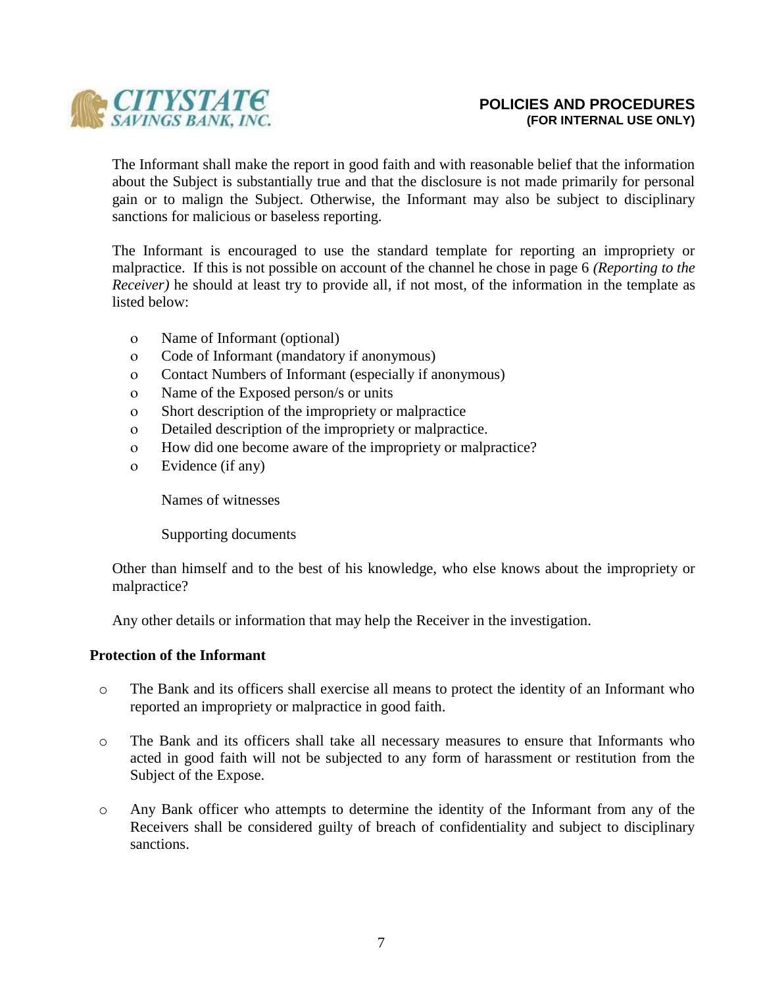

The Informant shall make the report in good faith and with reasonable belief that the information about the Subject is substantially true and that the disclosure is not made primarily for personal gain or to malign the Subject. Otherwise, the Informant may also be subject to disciplinary sanctions for malicious or baseless reporting.

The Informant is encouraged to use the standard template for reporting an impropriety or malpractice. If this is not possible on account of the channel he chose in page 6 *(Reporting to the Receiver*) he should at least try to provide all, if not most, of the information in the template as listed below:

- Name of Informant (optional)
- Code of Informant (mandatory if anonymous)
- Contact Numbers of Informant (especially if anonymous)
- Name of the Exposed person/s or units
- Short description of the impropriety or malpractice
- Detailed description of the impropriety or malpractice.
- How did one become aware of the impropriety or malpractice?
- Evidence (if any)

Names of witnesses

Supporting documents

Other than himself and to the best of his knowledge, who else knows about the impropriety or malpractice?

Any other details or information that may help the Receiver in the investigation.

### **Protection of the Informant**

- o The Bank and its officers shall exercise all means to protect the identity of an Informant who reported an impropriety or malpractice in good faith.
- o The Bank and its officers shall take all necessary measures to ensure that Informants who acted in good faith will not be subjected to any form of harassment or restitution from the Subject of the Expose.
- o Any Bank officer who attempts to determine the identity of the Informant from any of the Receivers shall be considered guilty of breach of confidentiality and subject to disciplinary sanctions.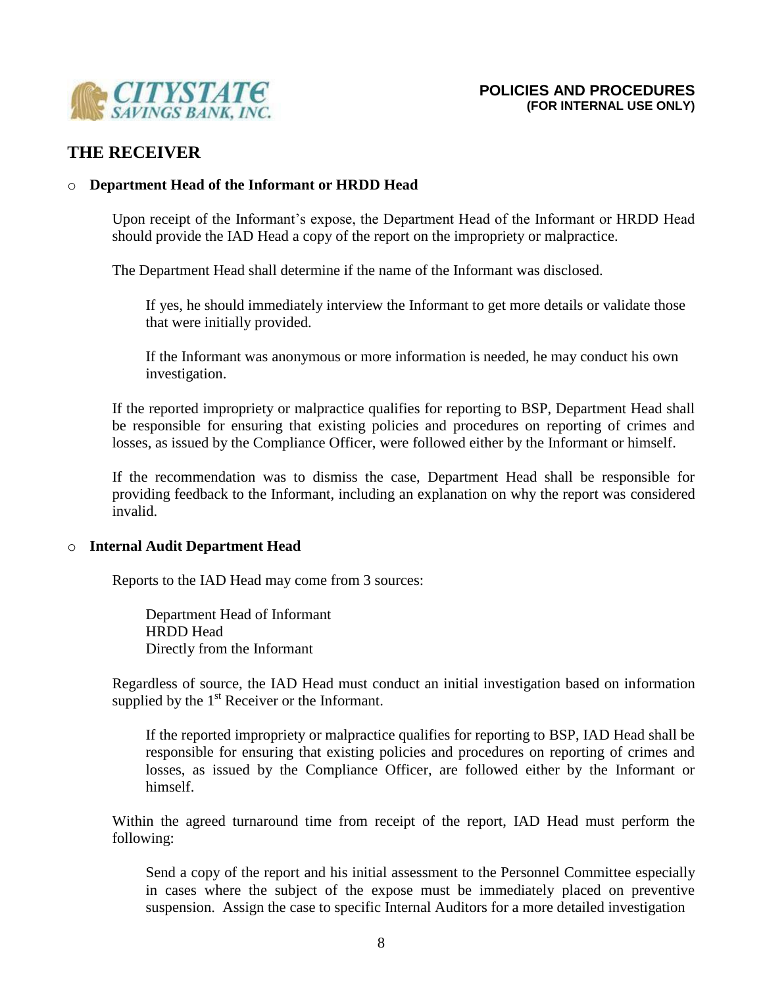

# **THE RECEIVER**

### o **Department Head of the Informant or HRDD Head**

Upon receipt of the Informant's expose, the Department Head of the Informant or HRDD Head should provide the IAD Head a copy of the report on the impropriety or malpractice.

The Department Head shall determine if the name of the Informant was disclosed.

If yes, he should immediately interview the Informant to get more details or validate those that were initially provided.

If the Informant was anonymous or more information is needed, he may conduct his own investigation.

If the reported impropriety or malpractice qualifies for reporting to BSP, Department Head shall be responsible for ensuring that existing policies and procedures on reporting of crimes and losses, as issued by the Compliance Officer, were followed either by the Informant or himself.

If the recommendation was to dismiss the case, Department Head shall be responsible for providing feedback to the Informant, including an explanation on why the report was considered invalid.

### o **Internal Audit Department Head**

Reports to the IAD Head may come from 3 sources:

Department Head of Informant HRDD Head Directly from the Informant

Regardless of source, the IAD Head must conduct an initial investigation based on information supplied by the  $1<sup>st</sup>$  Receiver or the Informant.

If the reported impropriety or malpractice qualifies for reporting to BSP, IAD Head shall be responsible for ensuring that existing policies and procedures on reporting of crimes and losses, as issued by the Compliance Officer, are followed either by the Informant or himself.

Within the agreed turnaround time from receipt of the report, IAD Head must perform the following:

Send a copy of the report and his initial assessment to the Personnel Committee especially in cases where the subject of the expose must be immediately placed on preventive suspension. Assign the case to specific Internal Auditors for a more detailed investigation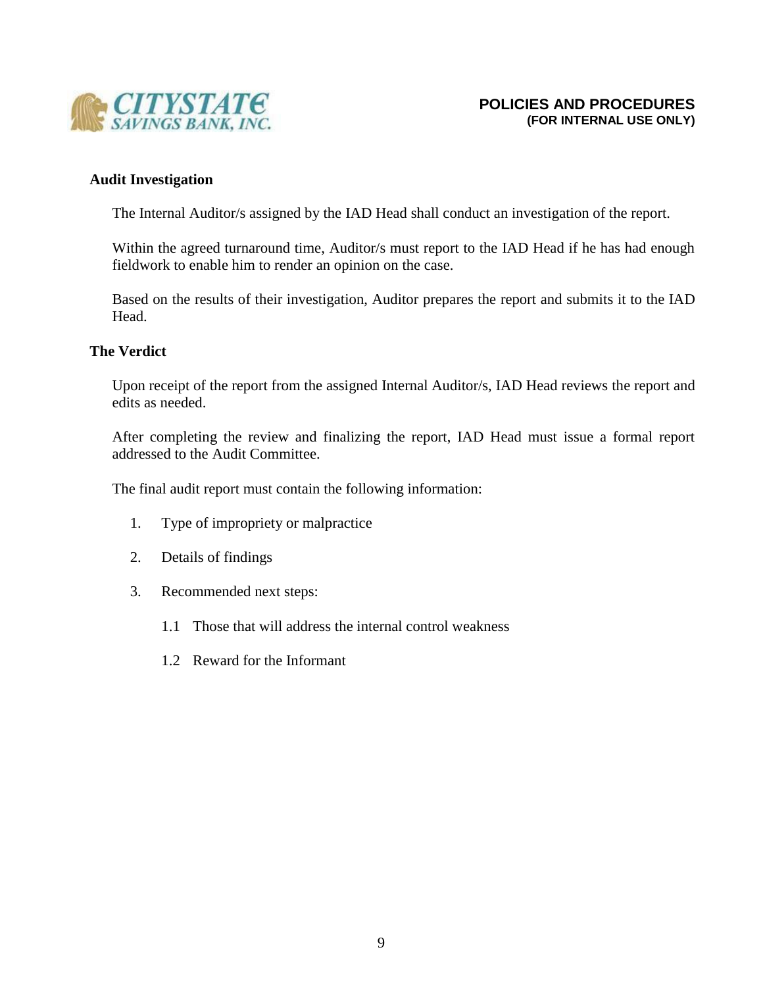

### **Audit Investigation**

The Internal Auditor/s assigned by the IAD Head shall conduct an investigation of the report.

Within the agreed turnaround time, Auditor/s must report to the IAD Head if he has had enough fieldwork to enable him to render an opinion on the case.

Based on the results of their investigation, Auditor prepares the report and submits it to the IAD Head.

### **The Verdict**

Upon receipt of the report from the assigned Internal Auditor/s, IAD Head reviews the report and edits as needed.

After completing the review and finalizing the report, IAD Head must issue a formal report addressed to the Audit Committee.

The final audit report must contain the following information:

- 1. Type of impropriety or malpractice
- 2. Details of findings
- 3. Recommended next steps:
	- 1.1 Those that will address the internal control weakness
	- 1.2 Reward for the Informant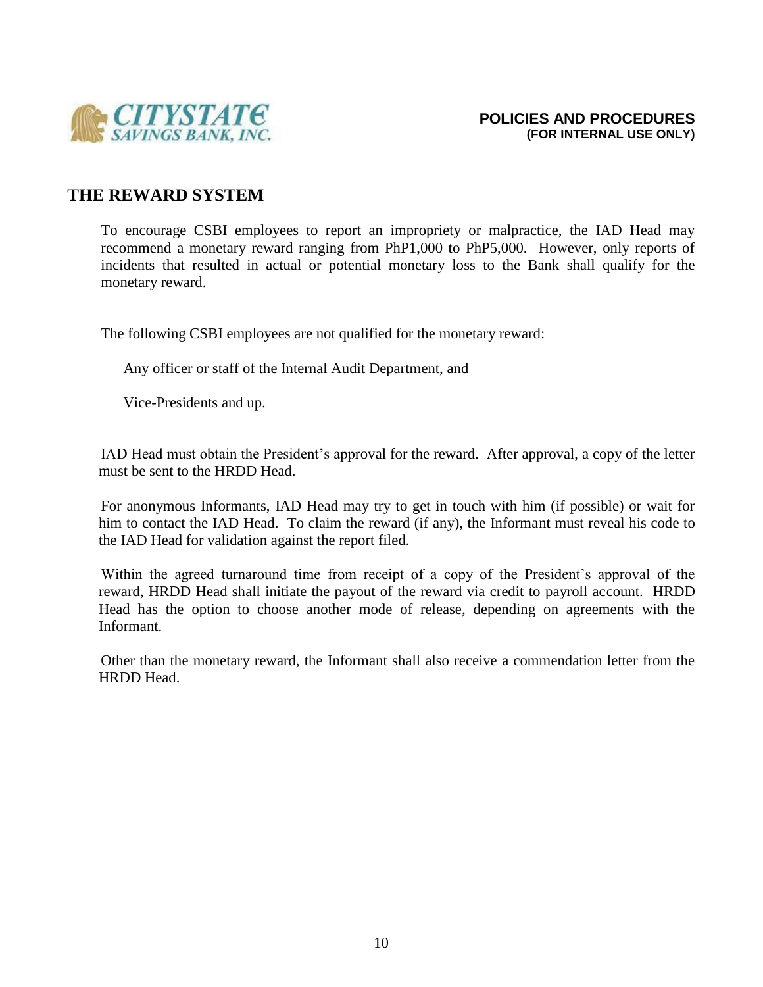

## **THE REWARD SYSTEM**

To encourage CSBI employees to report an impropriety or malpractice, the IAD Head may recommend a monetary reward ranging from PhP1,000 to PhP5,000. However, only reports of incidents that resulted in actual or potential monetary loss to the Bank shall qualify for the monetary reward.

The following CSBI employees are not qualified for the monetary reward:

Any officer or staff of the Internal Audit Department, and

Vice-Presidents and up.

IAD Head must obtain the President's approval for the reward. After approval, a copy of the letter must be sent to the HRDD Head.

For anonymous Informants, IAD Head may try to get in touch with him (if possible) or wait for him to contact the IAD Head. To claim the reward (if any), the Informant must reveal his code to the IAD Head for validation against the report filed.

Within the agreed turnaround time from receipt of a copy of the President's approval of the reward, HRDD Head shall initiate the payout of the reward via credit to payroll account. HRDD Head has the option to choose another mode of release, depending on agreements with the Informant.

Other than the monetary reward, the Informant shall also receive a commendation letter from the HRDD Head.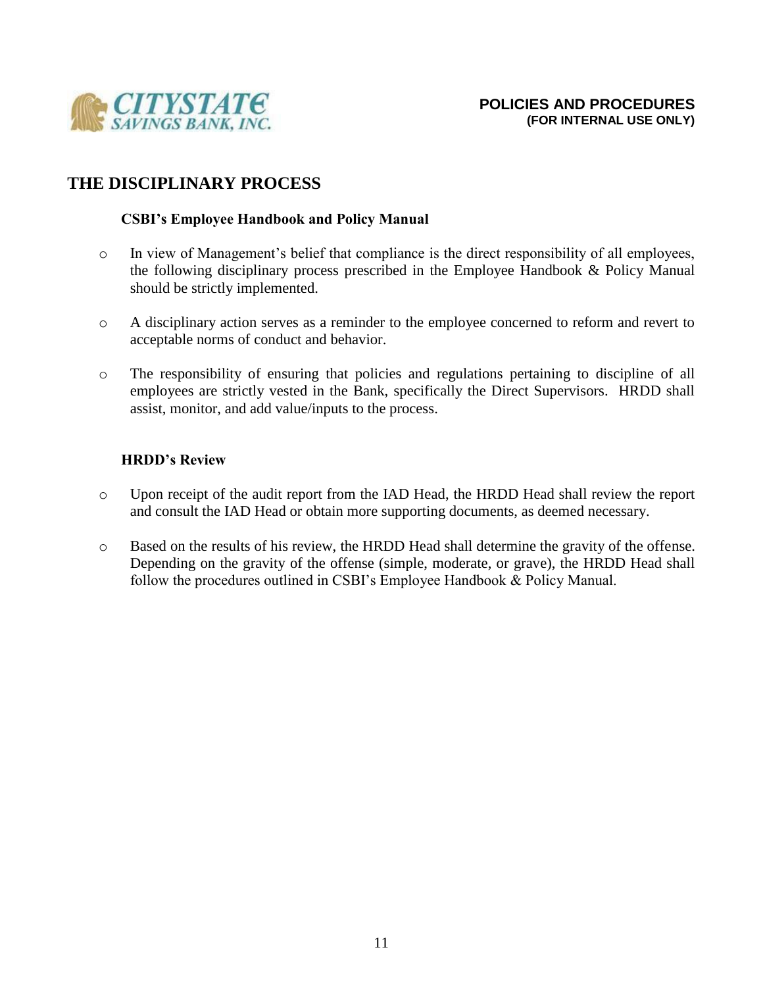

# **THE DISCIPLINARY PROCESS**

## **CSBI's Employee Handbook and Policy Manual**

- o In view of Management's belief that compliance is the direct responsibility of all employees, the following disciplinary process prescribed in the Employee Handbook & Policy Manual should be strictly implemented.
- o A disciplinary action serves as a reminder to the employee concerned to reform and revert to acceptable norms of conduct and behavior.
- o The responsibility of ensuring that policies and regulations pertaining to discipline of all employees are strictly vested in the Bank, specifically the Direct Supervisors. HRDD shall assist, monitor, and add value/inputs to the process.

## **HRDD's Review**

- o Upon receipt of the audit report from the IAD Head, the HRDD Head shall review the report and consult the IAD Head or obtain more supporting documents, as deemed necessary.
- o Based on the results of his review, the HRDD Head shall determine the gravity of the offense. Depending on the gravity of the offense (simple, moderate, or grave), the HRDD Head shall follow the procedures outlined in CSBI's Employee Handbook & Policy Manual.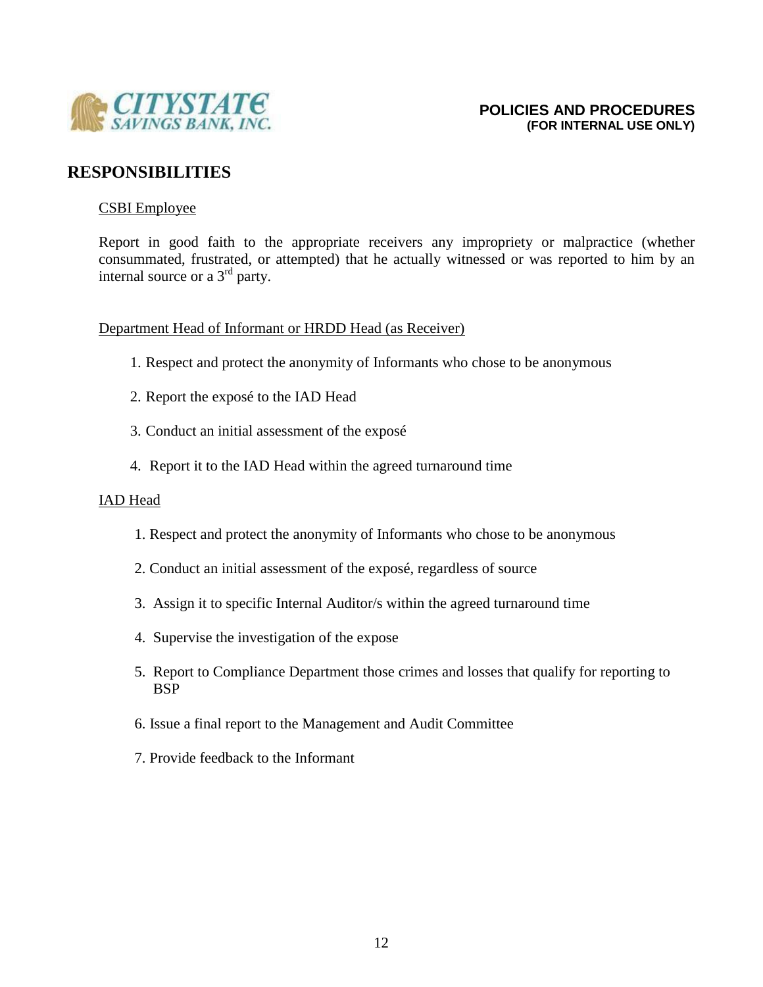

# **RESPONSIBILITIES**

### CSBI Employee

Report in good faith to the appropriate receivers any impropriety or malpractice (whether consummated, frustrated, or attempted) that he actually witnessed or was reported to him by an internal source or a 3<sup>rd</sup> party.

### Department Head of Informant or HRDD Head (as Receiver)

- 1. Respect and protect the anonymity of Informants who chose to be anonymous
- 2. Report the exposé to the IAD Head
- 3. Conduct an initial assessment of the exposé
- 4. Report it to the IAD Head within the agreed turnaround time

### IAD Head

- 1. Respect and protect the anonymity of Informants who chose to be anonymous
- 2. Conduct an initial assessment of the exposé, regardless of source
- 3. Assign it to specific Internal Auditor/s within the agreed turnaround time
- 4. Supervise the investigation of the expose
- 5. Report to Compliance Department those crimes and losses that qualify for reporting to BSP
- 6. Issue a final report to the Management and Audit Committee
- 7. Provide feedback to the Informant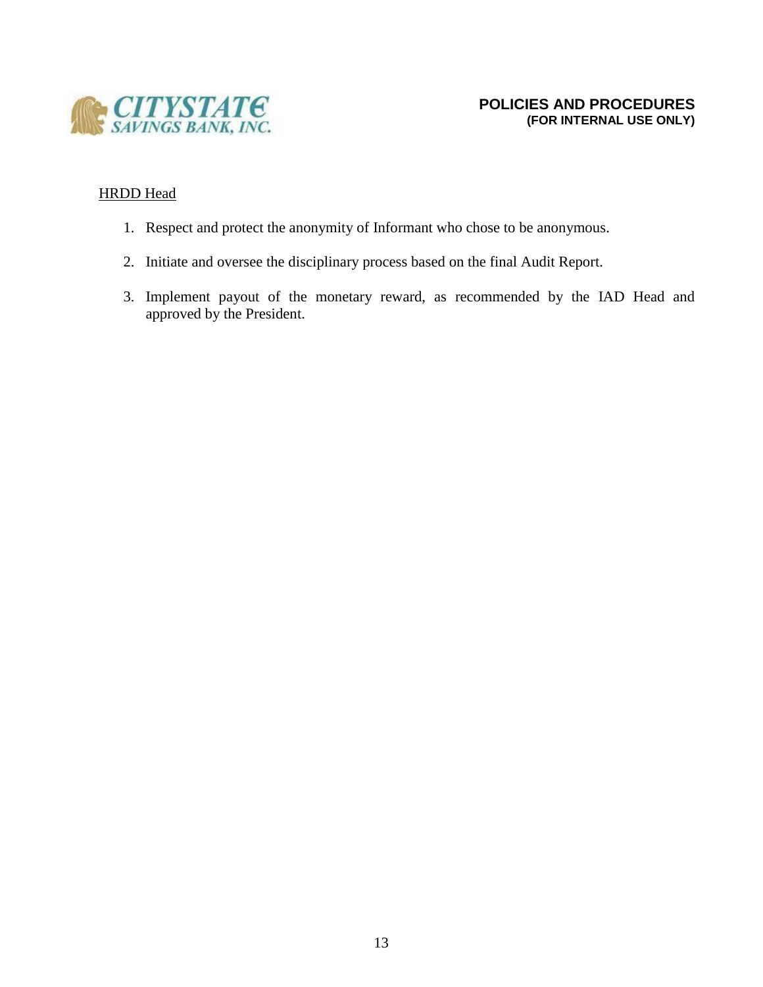

## HRDD Head

- 1. Respect and protect the anonymity of Informant who chose to be anonymous.
- 2. Initiate and oversee the disciplinary process based on the final Audit Report.
- 3. Implement payout of the monetary reward, as recommended by the IAD Head and approved by the President.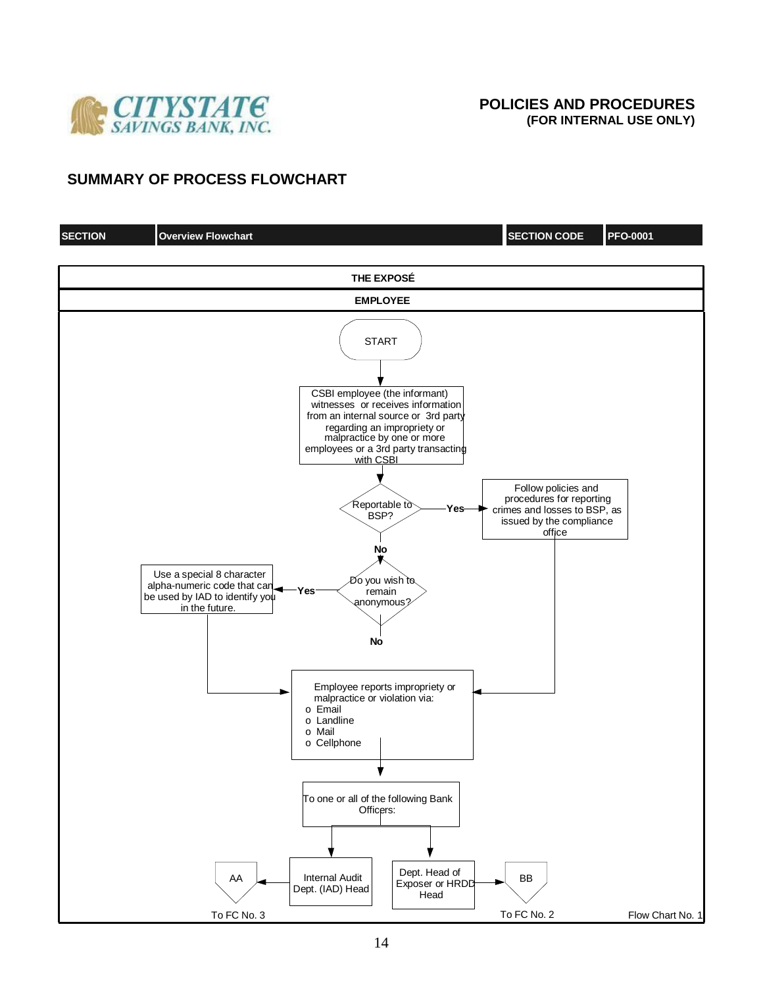

## **SUMMARY OF PROCESS FLOWCHART**

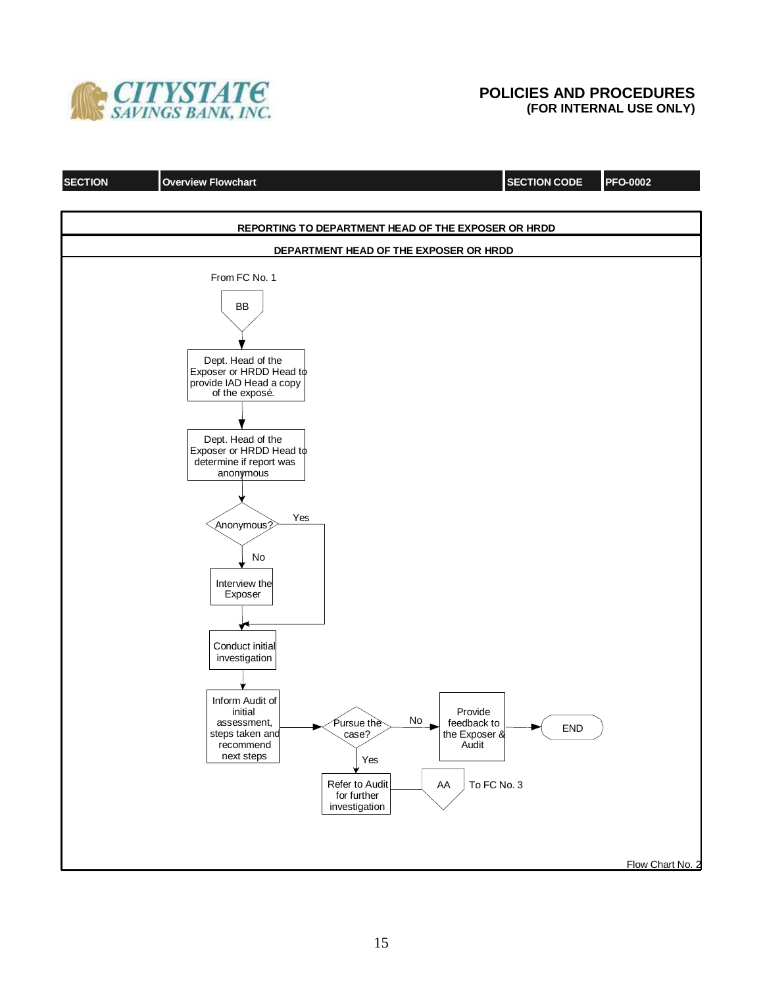

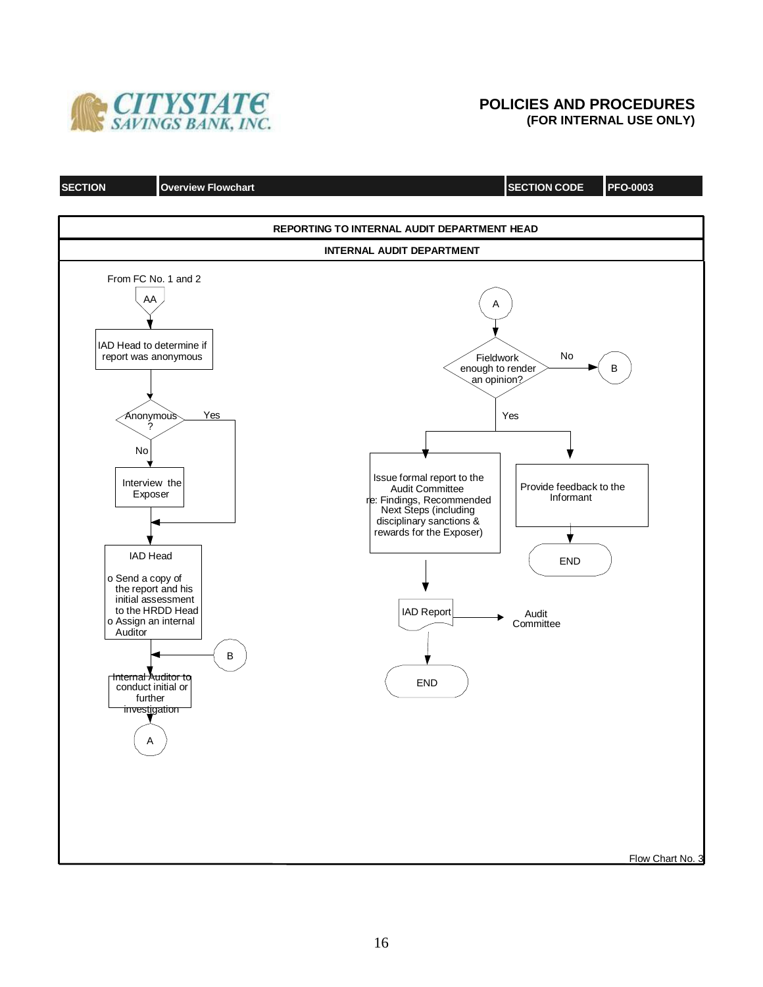

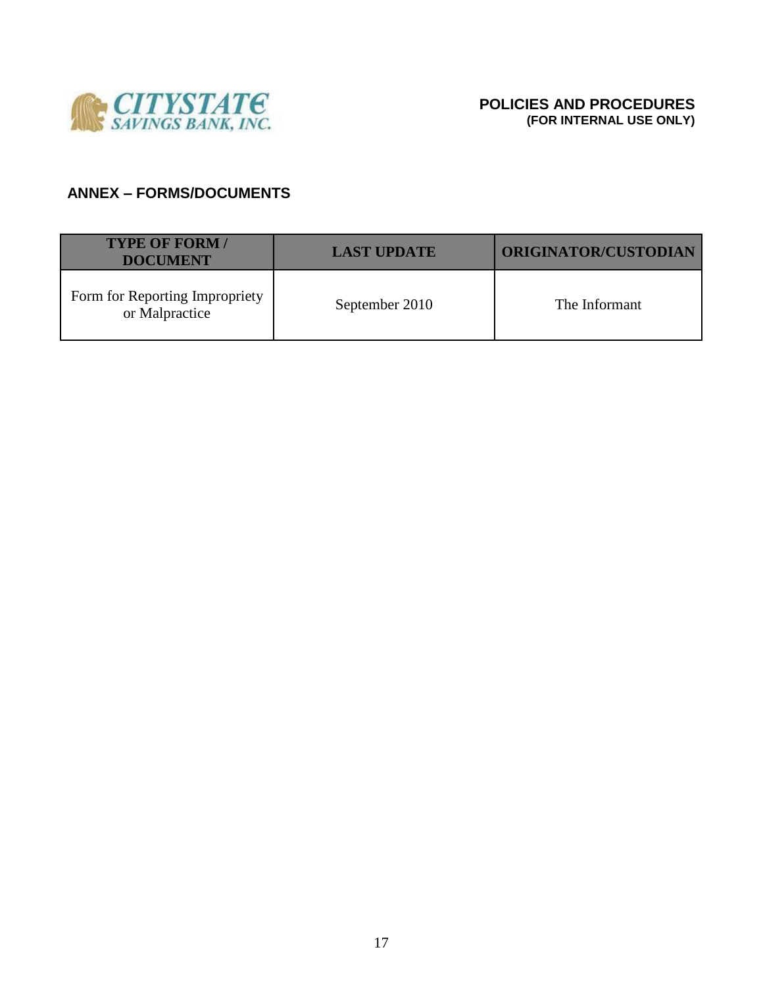

# **ANNEX – FORMS/DOCUMENTS**

| <b>TYPE OF FORM/</b><br><b>DOCUMENT</b>          | <b>LAST UPDATE</b> | <b>ORIGINATOR/CUSTODIAN</b> |
|--------------------------------------------------|--------------------|-----------------------------|
| Form for Reporting Impropriety<br>or Malpractice | September 2010     | The Informant               |